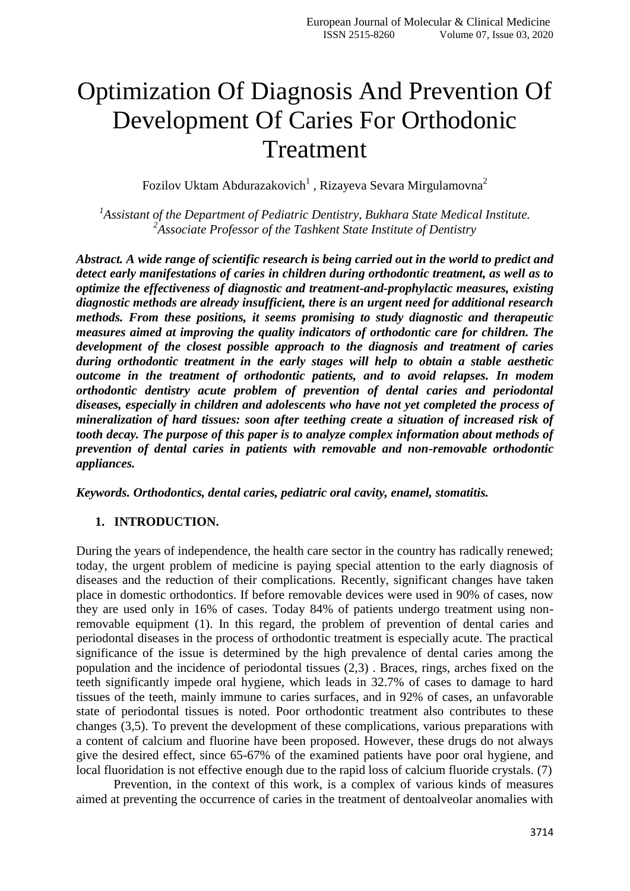# Optimization Of Diagnosis And Prevention Of Development Of Caries For Orthodonic Treatment

Fozilov Uktam Abdurazakovich $^{\rm l}$  , Rizayeva Sevara Mirgulamovna $^{\rm 2}$ 

*1 Assistant of the Department of Pediatric Dentistry, Bukhara State Medical Institute. 2 Associate Professor of the Tashkent State Institute of Dentistry*

*Abstract. A wide range of scientific research is being carried out in the world to predict and detect early manifestations of caries in children during orthodontic treatment, as well as to optimize the effectiveness of diagnostic and treatment-and-prophylactic measures, existing diagnostic methods are already insufficient, there is an urgent need for additional research methods. From these positions, it seems promising to study diagnostic and therapeutic measures aimed at improving the quality indicators of orthodontic care for children. The development of the closest possible approach to the diagnosis and treatment of caries during orthodontic treatment in the early stages will help to obtain a stable aesthetic outcome in the treatment of orthodontic patients, and to avoid relapses. In modem orthodontic dentistry acute problem of prevention of dental caries and periodontal diseases, especially in children and adolescents who have not yet completed the process of mineralization of hard tissues: soon after teething create a situation of increased risk of tooth decay. The purpose of this paper is to analyze complex information about methods of prevention of dental caries in patients with removable and non-removable orthodontic appliances.*

*Keywords. Orthodontics, dental caries, pediatric oral cavity, enamel, stomatitis.*

#### **1. INTRODUCTION.**

During the years of independence, the health care sector in the country has radically renewed; today, the urgent problem of medicine is paying special attention to the early diagnosis of diseases and the reduction of their complications. Recently, significant changes have taken place in domestic orthodontics. If before removable devices were used in 90% of cases, now they are used only in 16% of cases. Today 84% of patients undergo treatment using nonremovable equipment (1). In this regard, the problem of prevention of dental caries and periodontal diseases in the process of orthodontic treatment is especially acute. The practical significance of the issue is determined by the high prevalence of dental caries among the population and the incidence of periodontal tissues (2,3) . Braces, rings, arches fixed on the teeth significantly impede oral hygiene, which leads in 32.7% of cases to damage to hard tissues of the teeth, mainly immune to caries surfaces, and in 92% of cases, an unfavorable state of periodontal tissues is noted. Poor orthodontic treatment also contributes to these changes (3,5). To prevent the development of these complications, various preparations with a content of calcium and fluorine have been proposed. However, these drugs do not always give the desired effect, since 65-67% of the examined patients have poor oral hygiene, and local fluoridation is not effective enough due to the rapid loss of calcium fluoride crystals. (7)

Prevention, in the context of this work, is a complex of various kinds of measures aimed at preventing the occurrence of caries in the treatment of dentoalveolar anomalies with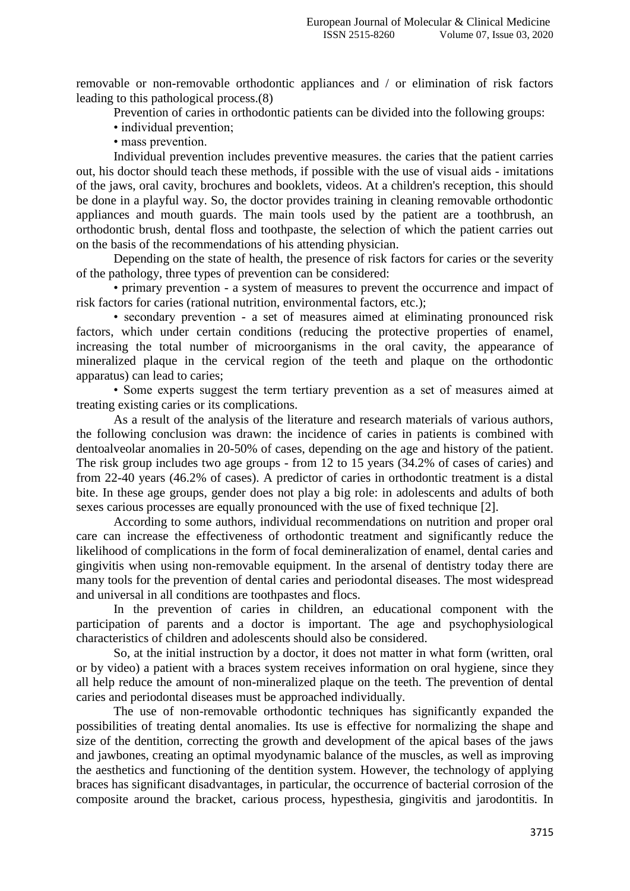removable or non-removable orthodontic appliances and / or elimination of risk factors leading to this pathological process.(8)

Prevention of caries in orthodontic patients can be divided into the following groups:

• individual prevention;

• mass prevention.

Individual prevention includes preventive measures. the caries that the patient carries out, his doctor should teach these methods, if possible with the use of visual aids - imitations of the jaws, oral cavity, brochures and booklets, videos. At a children's reception, this should be done in a playful way. So, the doctor provides training in cleaning removable orthodontic appliances and mouth guards. The main tools used by the patient are a toothbrush, an orthodontic brush, dental floss and toothpaste, the selection of which the patient carries out on the basis of the recommendations of his attending physician.

Depending on the state of health, the presence of risk factors for caries or the severity of the pathology, three types of prevention can be considered:

• primary prevention - a system of measures to prevent the occurrence and impact of risk factors for caries (rational nutrition, environmental factors, etc.);

• secondary prevention - a set of measures aimed at eliminating pronounced risk factors, which under certain conditions (reducing the protective properties of enamel, increasing the total number of microorganisms in the oral cavity, the appearance of mineralized plaque in the cervical region of the teeth and plaque on the orthodontic apparatus) can lead to caries;

• Some experts suggest the term tertiary prevention as a set of measures aimed at treating existing caries or its complications.

As a result of the analysis of the literature and research materials of various authors, the following conclusion was drawn: the incidence of caries in patients is combined with dentoalveolar anomalies in 20-50% of cases, depending on the age and history of the patient. The risk group includes two age groups - from 12 to 15 years (34.2% of cases of caries) and from 22-40 years (46.2% of cases). A predictor of caries in orthodontic treatment is a distal bite. In these age groups, gender does not play a big role: in adolescents and adults of both sexes carious processes are equally pronounced with the use of fixed technique [2].

According to some authors, individual recommendations on nutrition and proper oral care can increase the effectiveness of orthodontic treatment and significantly reduce the likelihood of complications in the form of focal demineralization of enamel, dental caries and gingivitis when using non-removable equipment. In the arsenal of dentistry today there are many tools for the prevention of dental caries and periodontal diseases. The most widespread and universal in all conditions are toothpastes and flocs.

In the prevention of caries in children, an educational component with the participation of parents and a doctor is important. The age and psychophysiological characteristics of children and adolescents should also be considered.

So, at the initial instruction by a doctor, it does not matter in what form (written, oral or by video) a patient with a braces system receives information on oral hygiene, since they all help reduce the amount of non-mineralized plaque on the teeth. The prevention of dental caries and periodontal diseases must be approached individually.

The use of non-removable orthodontic techniques has significantly expanded the possibilities of treating dental anomalies. Its use is effective for normalizing the shape and size of the dentition, correcting the growth and development of the apical bases of the jaws and jawbones, creating an optimal myodynamic balance of the muscles, as well as improving the aesthetics and functioning of the dentition system. However, the technology of applying braces has significant disadvantages, in particular, the occurrence of bacterial corrosion of the composite around the bracket, carious process, hypesthesia, gingivitis and jarodontitis. In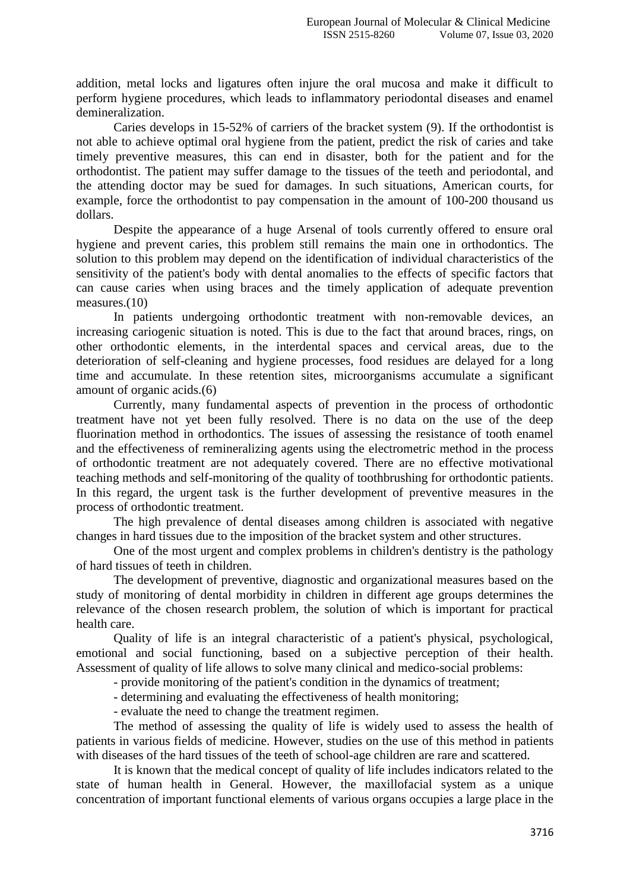addition, metal locks and ligatures often injure the oral mucosa and make it difficult to perform hygiene procedures, which leads to inflammatory periodontal diseases and enamel demineralization.

Caries develops in 15-52% of carriers of the bracket system (9). If the orthodontist is not able to achieve optimal oral hygiene from the patient, predict the risk of caries and take timely preventive measures, this can end in disaster, both for the patient and for the orthodontist. The patient may suffer damage to the tissues of the teeth and periodontal, and the attending doctor may be sued for damages. In such situations, American courts, for example, force the orthodontist to pay compensation in the amount of 100-200 thousand us dollars.

Despite the appearance of a huge Arsenal of tools currently offered to ensure oral hygiene and prevent caries, this problem still remains the main one in orthodontics. The solution to this problem may depend on the identification of individual characteristics of the sensitivity of the patient's body with dental anomalies to the effects of specific factors that can cause caries when using braces and the timely application of adequate prevention measures.(10)

In patients undergoing orthodontic treatment with non-removable devices, an increasing cariogenic situation is noted. This is due to the fact that around braces, rings, on other orthodontic elements, in the interdental spaces and cervical areas, due to the deterioration of self-cleaning and hygiene processes, food residues are delayed for a long time and accumulate. In these retention sites, microorganisms accumulate a significant amount of organic acids.(6)

Currently, many fundamental aspects of prevention in the process of orthodontic treatment have not yet been fully resolved. There is no data on the use of the deep fluorination method in orthodontics. The issues of assessing the resistance of tooth enamel and the effectiveness of remineralizing agents using the electrometric method in the process of orthodontic treatment are not adequately covered. There are no effective motivational teaching methods and self-monitoring of the quality of toothbrushing for orthodontic patients. In this regard, the urgent task is the further development of preventive measures in the process of orthodontic treatment.

The high prevalence of dental diseases among children is associated with negative changes in hard tissues due to the imposition of the bracket system and other structures.

One of the most urgent and complex problems in children's dentistry is the pathology of hard tissues of teeth in children.

The development of preventive, diagnostic and organizational measures based on the study of monitoring of dental morbidity in children in different age groups determines the relevance of the chosen research problem, the solution of which is important for practical health care.

Quality of life is an integral characteristic of a patient's physical, psychological, emotional and social functioning, based on a subjective perception of their health. Assessment of quality of life allows to solve many clinical and medico-social problems:

- provide monitoring of the patient's condition in the dynamics of treatment;

- determining and evaluating the effectiveness of health monitoring;

- evaluate the need to change the treatment regimen.

The method of assessing the quality of life is widely used to assess the health of patients in various fields of medicine. However, studies on the use of this method in patients with diseases of the hard tissues of the teeth of school-age children are rare and scattered.

It is known that the medical concept of quality of life includes indicators related to the state of human health in General. However, the maxillofacial system as a unique concentration of important functional elements of various organs occupies a large place in the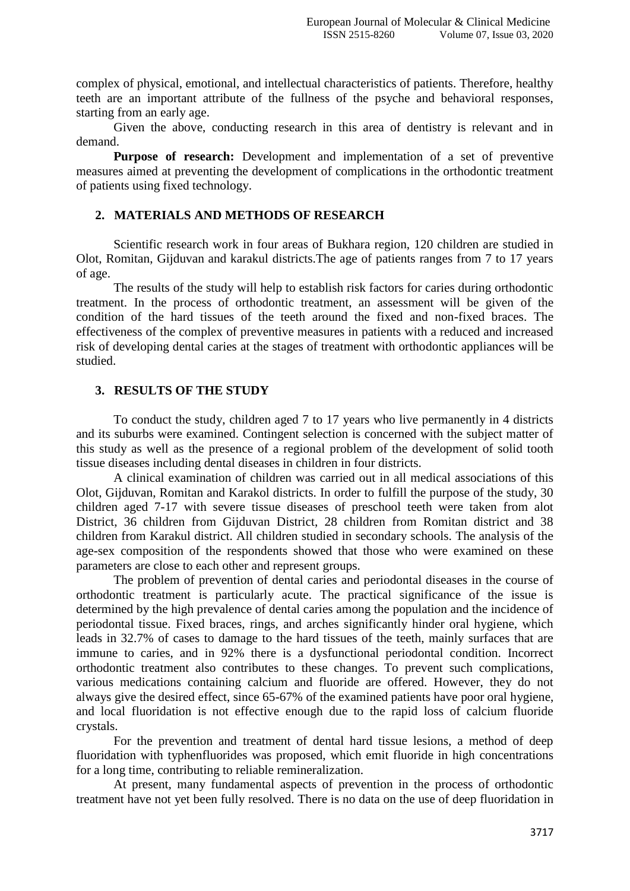complex of physical, emotional, and intellectual characteristics of patients. Therefore, healthy teeth are an important attribute of the fullness of the psyche and behavioral responses, starting from an early age.

Given the above, conducting research in this area of dentistry is relevant and in demand.

**Purpose of research:** Development and implementation of a set of preventive measures aimed at preventing the development of complications in the orthodontic treatment of patients using fixed technology.

## **2. MATERIALS AND METHODS OF RESEARCH**

Scientific research work in four areas of Bukhara region, 120 children are studied in Olot, Romitan, Gijduvan and karakul districts.The age of patients ranges from 7 to 17 years of age.

The results of the study will help to establish risk factors for caries during orthodontic treatment. In the process of orthodontic treatment, an assessment will be given of the condition of the hard tissues of the teeth around the fixed and non-fixed braces. The effectiveness of the complex of preventive measures in patients with a reduced and increased risk of developing dental caries at the stages of treatment with orthodontic appliances will be studied.

#### **3. RESULTS OF THE STUDY**

To conduct the study, children aged 7 to 17 years who live permanently in 4 districts and its suburbs were examined. Contingent selection is concerned with the subject matter of this study as well as the presence of a regional problem of the development of solid tooth tissue diseases including dental diseases in children in four districts.

A clinical examination of children was carried out in all medical associations of this Olot, Gijduvan, Romitan and Karakol districts. In order to fulfill the purpose of the study, 30 children aged 7-17 with severe tissue diseases of preschool teeth were taken from alot District, 36 children from Gijduvan District, 28 children from Romitan district and 38 children from Karakul district. All children studied in secondary schools. The analysis of the age-sex composition of the respondents showed that those who were examined on these parameters are close to each other and represent groups.

The problem of prevention of dental caries and periodontal diseases in the course of orthodontic treatment is particularly acute. The practical significance of the issue is determined by the high prevalence of dental caries among the population and the incidence of periodontal tissue. Fixed braces, rings, and arches significantly hinder oral hygiene, which leads in 32.7% of cases to damage to the hard tissues of the teeth, mainly surfaces that are immune to caries, and in 92% there is a dysfunctional periodontal condition. Incorrect orthodontic treatment also contributes to these changes. To prevent such complications, various medications containing calcium and fluoride are offered. However, they do not always give the desired effect, since 65-67% of the examined patients have poor oral hygiene, and local fluoridation is not effective enough due to the rapid loss of calcium fluoride crystals.

For the prevention and treatment of dental hard tissue lesions, a method of deep fluoridation with typhenfluorides was proposed, which emit fluoride in high concentrations for a long time, contributing to reliable remineralization.

At present, many fundamental aspects of prevention in the process of orthodontic treatment have not yet been fully resolved. There is no data on the use of deep fluoridation in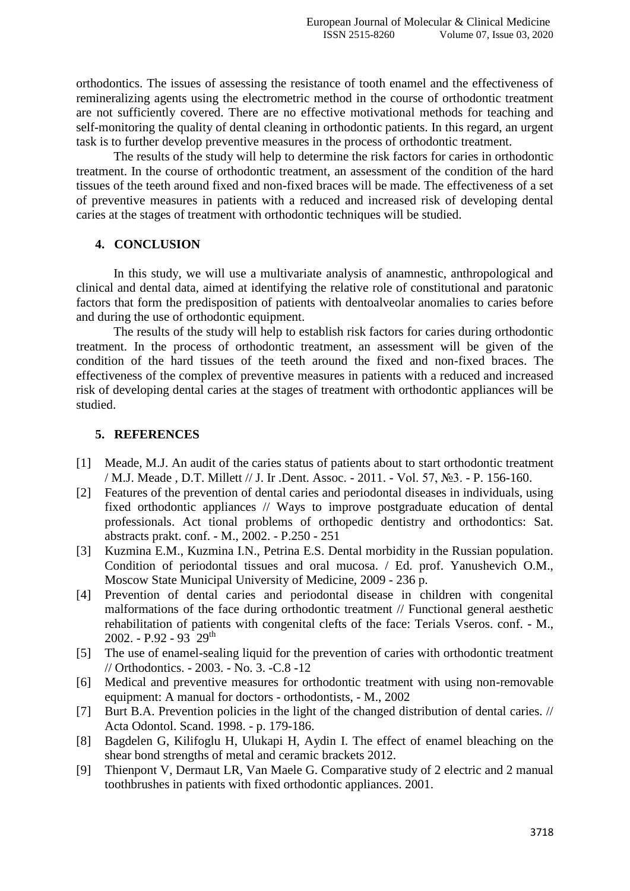orthodontics. The issues of assessing the resistance of tooth enamel and the effectiveness of remineralizing agents using the electrometric method in the course of orthodontic treatment are not sufficiently covered. There are no effective motivational methods for teaching and self-monitoring the quality of dental cleaning in orthodontic patients. In this regard, an urgent task is to further develop preventive measures in the process of orthodontic treatment.

The results of the study will help to determine the risk factors for caries in orthodontic treatment. In the course of orthodontic treatment, an assessment of the condition of the hard tissues of the teeth around fixed and non-fixed braces will be made. The effectiveness of a set of preventive measures in patients with a reduced and increased risk of developing dental caries at the stages of treatment with orthodontic techniques will be studied.

#### **4. CONCLUSION**

In this study, we will use a multivariate analysis of anamnestic, anthropological and clinical and dental data, aimed at identifying the relative role of constitutional and paratonic factors that form the predisposition of patients with dentoalveolar anomalies to caries before and during the use of orthodontic equipment.

The results of the study will help to establish risk factors for caries during orthodontic treatment. In the process of orthodontic treatment, an assessment will be given of the condition of the hard tissues of the teeth around the fixed and non-fixed braces. The effectiveness of the complex of preventive measures in patients with a reduced and increased risk of developing dental caries at the stages of treatment with orthodontic appliances will be studied.

### **5. REFERENCES**

- [1] Meade, M.J. An audit of the caries status of patients about to start orthodontic treatment / M.J. Meade , D.T. Millett // J. Ir .Dent. Assoc. - 2011. - Vol. 57, №3. - P. 156-160.
- [2] Features of the prevention of dental caries and periodontal diseases in individuals, using fixed orthodontic appliances // Ways to improve postgraduate education of dental professionals. Act tional problems of orthopedic dentistry and orthodontics: Sat. abstracts prakt. conf. - M., 2002. - P.250 - 251
- [3] Kuzmina E.M., Kuzmina I.N., Petrina E.S. Dental morbidity in the Russian population. Condition of periodontal tissues and oral mucosa. / Ed. prof. Yanushevich O.M., Moscow State Municipal University of Medicine, 2009 - 236 p.
- [4] Prevention of dental caries and periodontal disease in children with congenital malformations of the face during orthodontic treatment // Functional general aesthetic rehabilitation of patients with congenital clefts of the face: Terials Vseros. conf. - M., 2002. - P.92 - 93  $29^{th}$
- [5] The use of enamel-sealing liquid for the prevention of caries with orthodontic treatment // Orthodontics. - 2003. - No. 3. -C.8 -12
- [6] Medical and preventive measures for orthodontic treatment with using non-removable equipment: A manual for doctors - orthodontists, - M., 2002
- [7] Burt B.A. Prevention policies in the light of the changed distribution of dental caries. // Acta Odontol. Scand. 1998. - p. 179-186.
- [8] Bagdelen G, Kilifoglu H, Ulukapi H, Aydin I. The effect of enamel bleaching on the shear bond strengths of metal and ceramic brackets 2012.
- [9] Thienpont V, Dermaut LR, Van Maele G. Comparative study of 2 electric and 2 manual toothbrushes in patients with fixed orthodontic appliances. 2001.